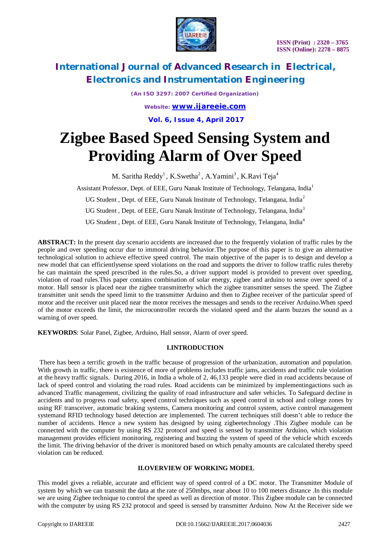

*(An ISO 3297: 2007 Certified Organization)*

*Website: [www.ijareeie.com](http://www.ijareeie.com)* **Vol. 6, Issue 4, April 2017**

# **Zigbee Based Speed Sensing System and Providing Alarm of Over Speed**

M. Saritha Reddy $^1$ , K.Swetha $^2$ , A.Yamini $^3$ , K.Ravi Teja $^4$ 

Assistant Professor, Dept. of EEE, Guru Nanak Institute of Technology, Telangana, India<sup>1</sup>

UG Student, Dept. of EEE, Guru Nanak Institute of Technology, Telangana, India<sup>2</sup>

UG Student, Dept. of EEE, Guru Nanak Institute of Technology, Telangana, India<sup>3</sup>

UG Student, Dept. of EEE, Guru Nanak Institute of Technology, Telangana, India<sup>4</sup>

**ABSTRACT:** In the present day scenario accidents are increased due to the frequently violation of traffic rules by the people and over speeding occur due to immoral driving behavior.The purpose of this paper is to give an alternative technological solution to achieve effective speed control. The main objective of the paper is to design and develop a new model that can efficientlysense speed violations on the road and supports the driver to follow traffic rules thereby he can maintain the speed prescribed in the rules.So, a driver support model is provided to prevent over speeding, violation of road rules.This paper contains combination of solar energy, zigbee and arduino to sense over speed of a motor. Hall sensor is placed near the zigbee transmitterby which the zigbee transmitter senses the speed. The Zigbee transmitter unit sends the speed limit to the transmitter Arduino and then to Zigbee receiver of the particular speed of motor and the receiver unit placed near the motor receives the messages and sends to the receiver Arduino.When speed of the motor exceeds the limit, the microcontroller records the violated speed and the alarm buzzes the sound as a warning of over speed.

**KEYWORDS**: Solar Panel, Zigbee, Arduino, Hall sensor, Alarm of over speed.

#### **I.INTRODUCTION**

There has been a terrific growth in the traffic because of progression of the urbanization, automation and population. With growth in traffic, there is existence of more of problems includes traffic jams, accidents and traffic rule violation at the heavy traffic signals. During 2016, in India a whole of 2, 46,133 people were died in road accidents because of lack of speed control and violating the road rules. Road accidents can be minimized by implementingactions such as advanced Traffic management, civilizing the quality of road infrastructure and safer vehicles. To Safeguard decline in accidents and to progress road safety, speed control techniques such as speed control in school and college zones by using RF transceiver, automatic braking systems, Camera monitoring and control system, active control management systemand RFID technology based detection are implemented. The current techniques still doesn't able to reduce the number of accidents. Hence a new system has designed by using zigbeetechnology .This Zigbee module can be connected with the computer by using RS 232 protocol and speed is sensed by transmitter Arduino, which violation management provides efficient monitoring, registering and buzzing the system of speed of the vehicle which exceeds the limit. The driving behavior of the driver is monitored based on which penalty amounts are calculated thereby speed violation can be reduced.

#### **II.OVERVIEW OF WORKING MODEL**

This model gives a reliable, accurate and efficient way of speed control of a DC motor. The Transmitter Module of system by which we can transmit the data at the rate of 250mbps, near about 10 to 100 meters distance .In this module we are using Zigbee technique to control the speed as well as direction of motor. This Zigbee module can be connected with the computer by using RS 232 protocol and speed is sensed by transmitter Arduino. Now At the Receiver side we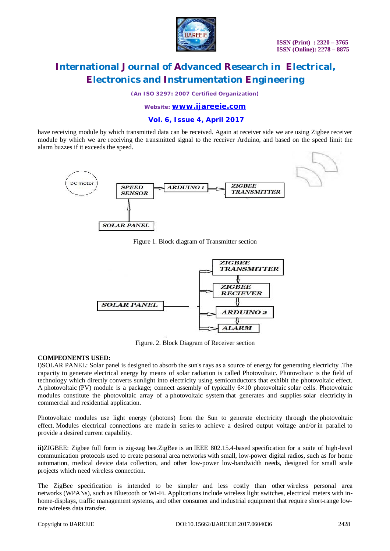

*(An ISO 3297: 2007 Certified Organization)*

### *Website: [www.ijareeie.com](http://www.ijareeie.com)*

### **Vol. 6, Issue 4, April 2017**

have receiving module by which transmitted data can be received. Again at receiver side we are using Zigbee receiver module by which we are receiving the transmitted signal to the receiver Arduino, and based on the speed limit the alarm buzzes if it exceeds the speed.



Figure 1. Block diagram of Transmitter section



Figure. 2. Block Diagram of Receiver section

#### **COMPEONENTS USED:**

i)SOLAR PANEL: Solar panel is designed to absorb the sun's rays as a source of energy for generating electricity .The capacity to generate electrical energy by means of solar radiation is called Photovoltaic. Photovoltaic is the field of technology which directly converts sunlight into electricity using semiconductors that exhibit the photovoltaic effect. A photovoltaic (PV) module is a package; connect assembly of typically 6×10 photovoltaic solar cells. Photovoltaic modules constitute the photovoltaic array of a photovoltaic system that generates and supplies solar electricity in commercial and residential application.

Photovoltaic modules use light energy (photons) from the Sun to generate electricity through the photovoltaic effect. Modules electrical connections are made in series to achieve a desired output voltage and/or in parallel to provide a desired current capability.

**ii)**ZIGBEE: Zigbee full form is zig-zag bee.ZigBee is an IEEE 802.15.4-based specification for a suite of high-level communication protocols used to create personal area networks with small, low-power digital radios, such as for home automation, medical device data collection, and other low-power low-bandwidth needs, designed for small scale projects which need wireless connection.

The ZigBee specification is intended to be simpler and less costly than other wireless personal area networks (WPANs), such as Bluetooth or Wi-Fi. Applications include wireless light switches, electrical meters with inhome-displays, traffic management systems, and other consumer and industrial equipment that require short-range lowrate wireless data transfer.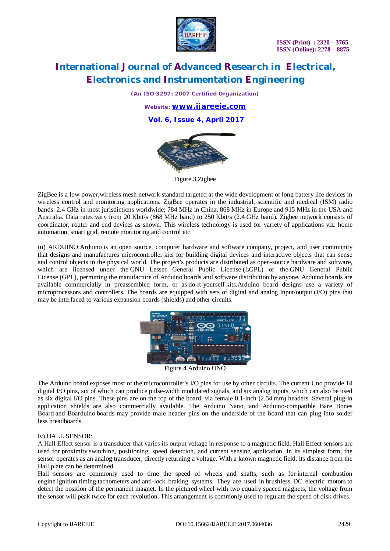

*(An ISO 3297: 2007 Certified Organization)*

*Website: [www.ijareeie.com](http://www.ijareeie.com)* **Vol. 6, Issue 4, April 2017**



Figure.3.Zigbee

ZigBee is a low-power,wireless mesh network standard targeted at the wide development of long battery life devices in wireless control and monitoring applications. ZigBee operates in the industrial, scientific and medical (ISM) radio bands: 2.4 GHz in most jurisdictions worldwide; 784 MHz in China, 868 MHz in Europe and 915 MHz in the USA and Australia. Data rates vary from 20 Kbit/s (868 MHz band) to 250 Kbit/s (2.4 GHz band). Zigbee network consists of coordinator, router and end devices as shown. This wireless technology is used for variety of applications viz. home automation, smart grid, remote monitoring and control etc.

iii) ARDUINO:Arduino is an open source, computer hardware and software company, project, and user community that designs and manufactures microcontroller kits for building digital devices and interactive objects that can sense and control objects in the physical world. The project's products are distributed as open-source hardware and software, which are licensed under the GNU Lesser General Public License (LGPL) or the GNU General Public License (GPL), permitting the manufacture of Arduino boards and software distribution by anyone. Arduino boards are available commercially in preassembled form, or as do-it-yourself kits.Arduino board designs use a variety of microprocessors and controllers. The boards are equipped with sets of digital and analog input/output (I/O) pins that may be interfaced to various expansion boards (shields) and other circuits.



Figure.4.Arduino UNO

The Arduino board exposes most of the microcontroller's I/O pins for use by other circuits. The current Uno provide 14 digital I/O pins, six of which can produce pulse-width modulated signals, and six analog inputs, which can also be used as six digital I/O pins. These pins are on the top of the board, via female 0.1-inch (2.54 mm) headers. Several plug-in application shields are also commercially available. The Arduino Nano, and Arduino-compatible Bare Bones Board and Boarduino boards may provide male header pins on the underside of the board that can plug into solder less breadboards.

#### iv) HALL SENSOR:

A Hall Effect sensor is a transducer that varies its output voltage in response to a magnetic field. Hall Effect sensors are used for proximity switching, positioning, speed detection, and current sensing application. In its simplest form, the sensor operates as an analog transducer, directly returning a voltage. With a known magnetic field, its distance from the Hall plate can be determined.

Hall sensors are commonly used to time the speed of wheels and shafts, such as for internal combustion engine ignition timing tachometers and anti-lock braking systems. They are used in brushless DC electric motors to detect the position of the permanent magnet. In the pictured wheel with two equally spaced magnets, the voltage from the sensor will peak twice for each revolution. This arrangement is commonly used to regulate the speed of disk drives.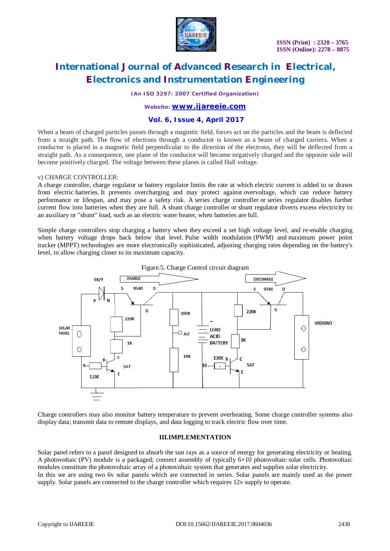

*(An ISO 3297: 2007 Certified Organization)*

### *Website: [www.ijareeie.com](http://www.ijareeie.com)*

### **Vol. 6, Issue 4, April 2017**

When a beam of charged particles passes through a magnetic field, forces act on the particles and the beam is deflected from a straight path. The flow of electrons through a conductor is known as a beam of charged carriers. When a conductor is placed in a magnetic field perpendicular to the direction of the electrons, they will be deflected from a straight path. As a consequence, one plane of the conductor will become negatively charged and the opposite side will become positively charged. The voltage between these planes is called Hall voltage.

#### v) CHARGE CONTROLLER:

A charge controller, charge regulator or battery regulator limits the rate at which electric current is added to or drawn from electric batteries. It prevents overcharging and may protect against overvoltage, which can reduce battery performance or lifespan, and may pose a safety risk. A series charge controller or series regulator disables further current flow into batteries when they are full. A shunt charge controller or shunt regulator diverts excess electricity to an auxiliary or "shunt" load, such as an electric water heater, when batteries are full.

Simple charge controllers stop charging a battery when they exceed a set high voltage level, and re-enable charging when battery voltage drops back below that level. Pulse width modulation (PWM) and maximum power point tracker (MPPT) technologies are more electronically sophisticated, adjusting charging rates depending on the battery's level, to allow charging closer to its maximum capacity.



Charge controllers may also monitor battery temperature to prevent overheating. Some charge controller systems also display data; transmit data to remote displays, and data logging to track electric flow over time.

#### **III.IMPLEMENTATION**

Solar panel refers to a panel designed to absorb the sun rays as a source of energy for generating electricity or heating. A photovoltaic (PV) module is a packaged; connect assembly of typically 6×10 photovoltaic solar cells. Photovoltaic modules constitute the photovoltaic array of a photovoltaic system that generates and supplies solar electricity. In this we are using two 6v solar panels which are connected in series. Solar panels are mainly used as the power supply. Solar panels are connected to the charge controller which requires 12v supply to operate.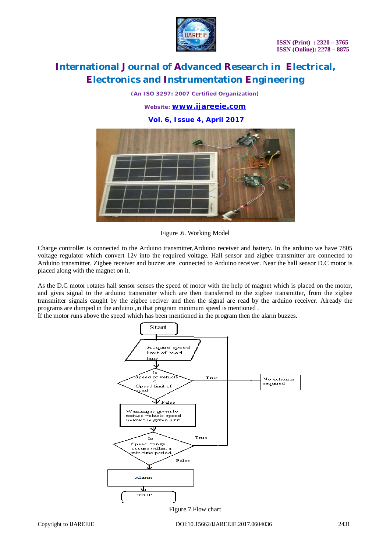

*(An ISO 3297: 2007 Certified Organization)*

*Website: [www.ijareeie.com](http://www.ijareeie.com)*

**Vol. 6, Issue 4, April 2017**



Figure .6. Working Model

Charge controller is connected to the Arduino transmitter,Arduino receiver and battery. In the arduino we have 7805 voltage regulator which convert 12v into the required voltage. Hall sensor and zigbee transmitter are connected to Arduino transmitter. Zigbee receiver and buzzer are connected to Arduino receiver. Near the hall sensor D.C motor is placed along with the magnet on it.

As the D.C motor rotates hall sensor senses the speed of motor with the help of magnet which is placed on the motor, and gives signal to the arduino transmitter which are then transferred to the zigbee transmitter, from the zigbee transmitter signals caught by the zigbee reciver and then the signal are read by the arduino receiver. Already the programs are dumped in the arduino ,in that program minimum speed is mentioned .

If the motor runs above the speed which has been mentioned in the program then the alarm buzzes.



Figure.7.Flow chart